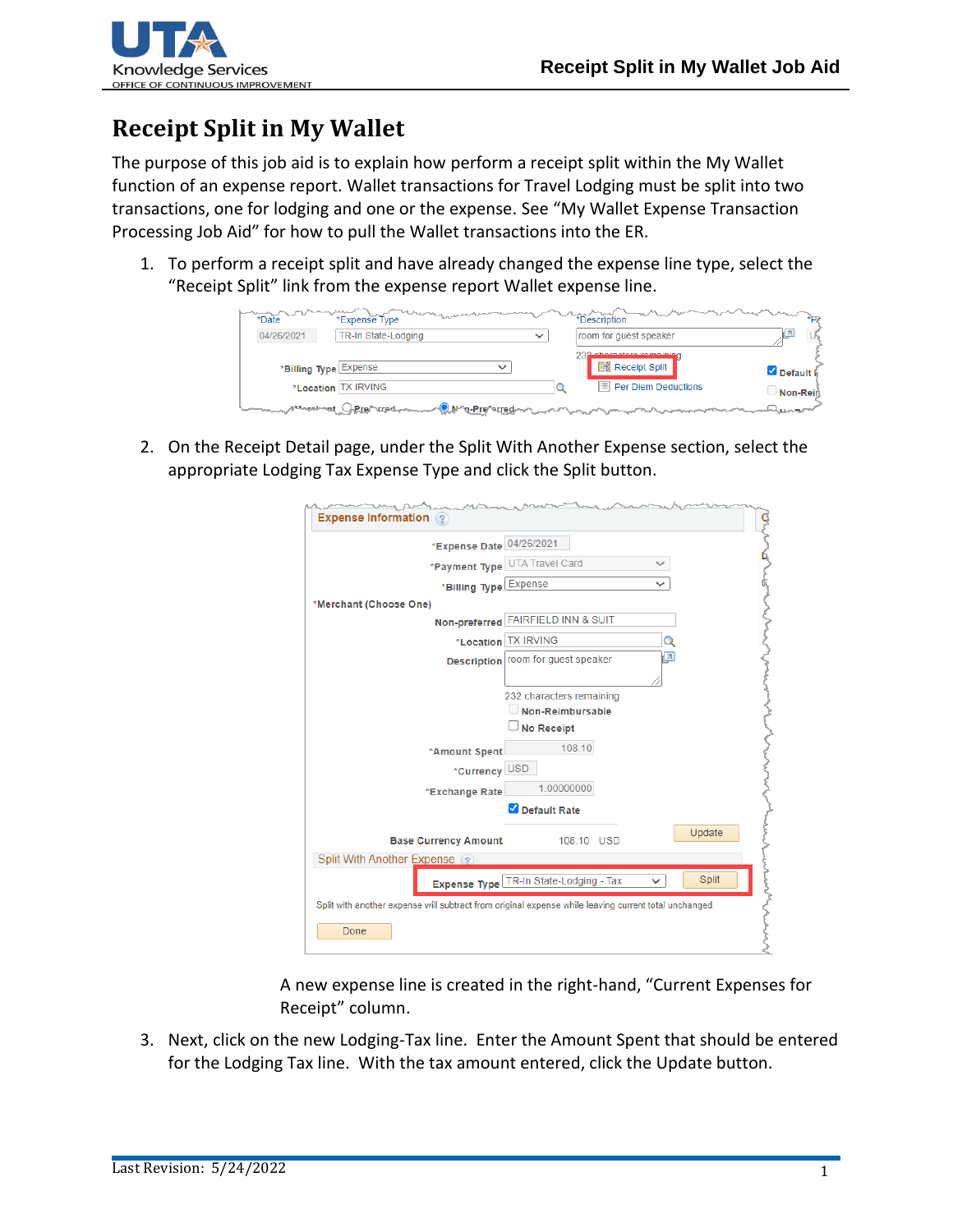

## **Receipt Split in My Wallet**

The purpose of this job aid is to explain how perform a receipt split within the My Wallet function of an expense report. Wallet transactions for Travel Lodging must be split into two transactions, one for lodging and one or the expense. See "My Wallet Expense Transaction Processing Job Aid" for how to pull the Wallet transactions into the ER.

1. To perform a receipt split and have already changed the expense line type, select the "Receipt Split" link from the expense report Wallet expense line.

| *Date                 | *Expense Type                                    |              | *Description                                        |                    | $*$ De |
|-----------------------|--------------------------------------------------|--------------|-----------------------------------------------------|--------------------|--------|
| 04/26/2021            | TR-In State-Lodging                              | $\checkmark$ | room for guest speaker                              |                    |        |
| *Billing Type Expense | $\checkmark$                                     |              | 232 ebereetere remeinien<br><b>He Receipt Split</b> | Default i          |        |
|                       | *Location TX IRVING                              |              | $\boxed{=}$ Per Diem Deductions                     | Non-Rein           |        |
| <b>Annahantic</b>     | ∽ <mark>© M^q-Pre</mark> ^≈rred ~<br>HRrenvrred. |              |                                                     | and all contact of |        |

2. On the Receipt Detail page, under the Split With Another Expense section, select the appropriate Lodging Tax Expense Type and click the Split button.

| <b>Expense Information</b> ? |                             |                                                                                                       |               |
|------------------------------|-----------------------------|-------------------------------------------------------------------------------------------------------|---------------|
|                              | *Expense Date 04/26/2021    |                                                                                                       |               |
|                              | *Payment Type               | UTA Travel Card                                                                                       |               |
|                              | *Billing Type               | Expense                                                                                               |               |
| *Merchant (Choose One)       |                             |                                                                                                       |               |
|                              |                             | Non-preferred FAIRFIELD INN & SUIT                                                                    |               |
|                              | *Location                   | <b>TX IRVING</b>                                                                                      |               |
|                              |                             | Description room for guest speaker                                                                    | $\vert$ $\pi$ |
|                              |                             |                                                                                                       |               |
|                              |                             | 232 characters remaining                                                                              |               |
|                              |                             | Non-Reimbursable                                                                                      |               |
|                              |                             | <b>No Receipt</b>                                                                                     |               |
|                              | *Amount Spent               | 108.10                                                                                                |               |
|                              | *Currency USD               |                                                                                                       |               |
|                              | *Exchange Rate              | 1.00000000                                                                                            |               |
|                              |                             | Default Rate                                                                                          |               |
|                              | <b>Base Currency Amount</b> | 108.10 USD                                                                                            | Update        |
| Split With Another Expense ? |                             |                                                                                                       |               |
|                              |                             | Expense Type TR-In State-Lodging - Tax                                                                | <b>Split</b>  |
|                              |                             | Split with another expense will subtract from original expense while leaving current total unchanged. |               |
| Done                         |                             |                                                                                                       |               |

A new expense line is created in the right-hand, "Current Expenses for Receipt" column.

3. Next, click on the new Lodging-Tax line. Enter the Amount Spent that should be entered for the Lodging Tax line. With the tax amount entered, click the Update button.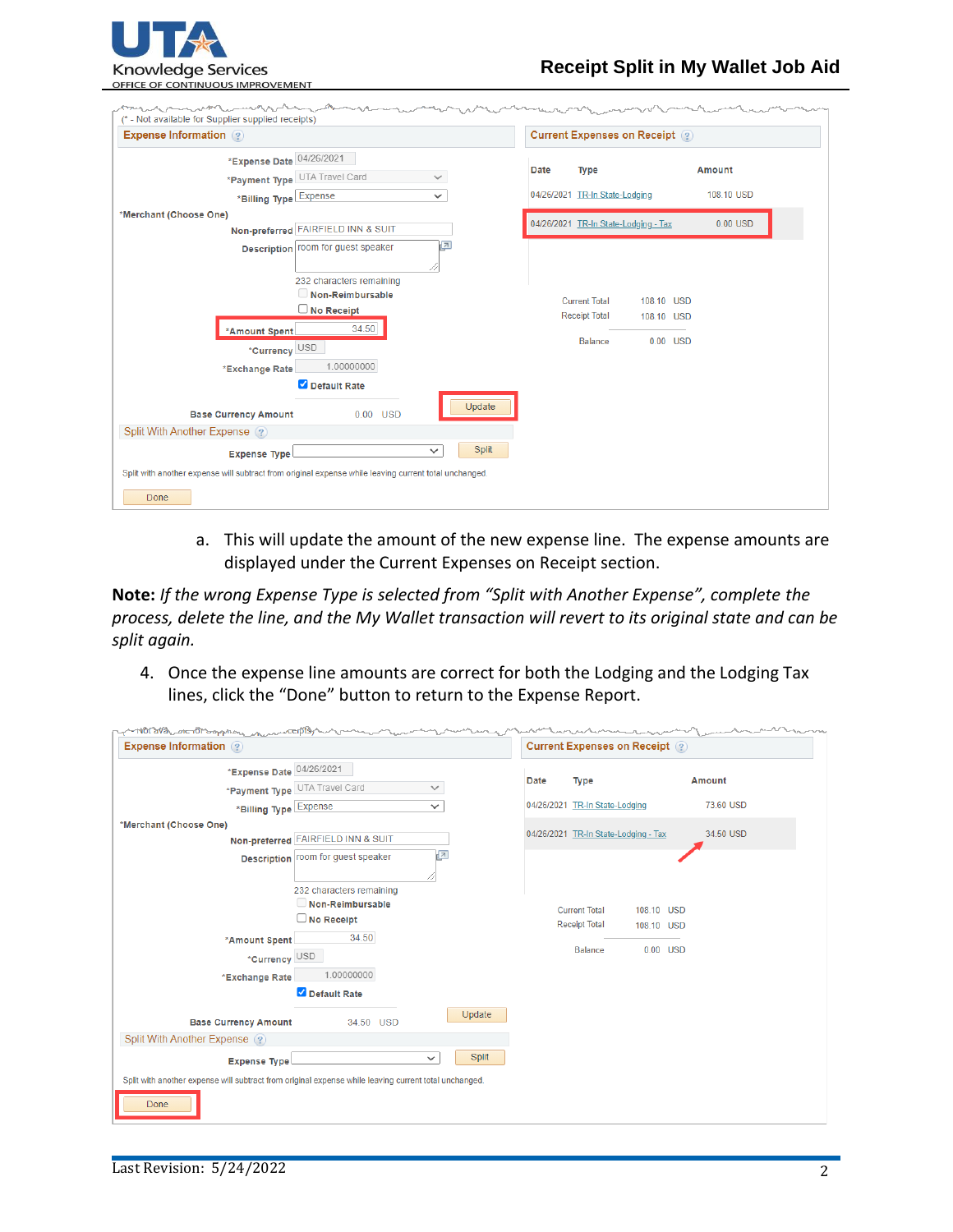

| <b>Expense Information</b> 2                                                                          |                          |                                |                      | <b>Current Expenses on Receipt (?)</b> |            |               |
|-------------------------------------------------------------------------------------------------------|--------------------------|--------------------------------|----------------------|----------------------------------------|------------|---------------|
| *Expense Date 04/26/2021                                                                              |                          |                                |                      |                                        |            |               |
| *Payment Type UTA Travel Card                                                                         | $\checkmark$             | Date                           | <b>Type</b>          |                                        |            | <b>Amount</b> |
| *Billing Type Expense                                                                                 | $\checkmark$             | 04/26/2021 TR-In State-Lodging |                      |                                        |            | 108.10 USD    |
| *Merchant (Choose One)                                                                                |                          |                                |                      |                                        |            |               |
| Non-preferred FAIRFIELD INN & SUIT                                                                    |                          |                                |                      | 04/26/2021 TR-In State-Lodging - Tax   |            | $0.00$ USD    |
| Description room for guest speaker                                                                    | $\sqrt{2}$               |                                |                      |                                        |            |               |
|                                                                                                       | 232 characters remaining |                                |                      |                                        |            |               |
|                                                                                                       | Non-Reimbursable         |                                | <b>Current Total</b> | 108.10 USD                             |            |               |
| <b>No Receipt</b>                                                                                     |                          |                                | <b>Receipt Total</b> | 108.10 USD                             |            |               |
| *Amount Spent                                                                                         | 34.50                    |                                | <b>Balance</b>       |                                        | $0.00$ USD |               |
| *Currency USD                                                                                         |                          |                                |                      |                                        |            |               |
| *Exchange Rate                                                                                        | 1.00000000               |                                |                      |                                        |            |               |
| Default Rate<br><b>Base Currency Amount</b>                                                           | Update<br>$0.00$ USD     |                                |                      |                                        |            |               |
| Split With Another Expense ?                                                                          |                          |                                |                      |                                        |            |               |
| <b>Expense Type</b>                                                                                   | Split<br>$\checkmark$    |                                |                      |                                        |            |               |
| Split with another expense will subtract from original expense while leaving current total unchanged. |                          |                                |                      |                                        |            |               |
| Done                                                                                                  |                          |                                |                      |                                        |            |               |

a. This will update the amount of the new expense line. The expense amounts are displayed under the Current Expenses on Receipt section.

**Note:** *If the wrong Expense Type is selected from "Split with Another Expense", complete the process, delete the line, and the My Wallet transaction will revert to its original state and can be split again.*

4. Once the expense line amounts are correct for both the Lodging and the Lodging Tax lines, click the "Done" button to return to the Expense Report.

| <b>Expense Information</b> ?                                                                                  |      | <b>Current Expenses on Receipt</b> (?) |                          |               |
|---------------------------------------------------------------------------------------------------------------|------|----------------------------------------|--------------------------|---------------|
| *Expense Date 04/26/2021<br>*Payment Type UTA Travel Card<br>$\checkmark$                                     | Date | <b>Type</b>                            |                          | <b>Amount</b> |
| *Billing Type Expense<br>$\checkmark$                                                                         |      | 04/26/2021 TR-In State-Lodging         |                          | 73.60 USD     |
| *Merchant (Choose One)<br>Non-preferred FAIRFIELD INN & SUIT<br>E                                             |      | 04/26/2021 TR-In State-Lodging - Tax   |                          | 34.50 USD     |
| Description   room for guest speaker<br>232 characters remaining<br>Non-Reimbursable<br>$\Box$ No Receipt     |      | <b>Current Total</b>                   | 108.10 USD               |               |
| 34.50<br>*Amount Spent<br>*Currency USD<br>1.00000000<br>*Exchange Rate                                       |      | <b>Receipt Total</b><br><b>Balance</b> | 108.10 USD<br>$0.00$ USD |               |
| Default Rate                                                                                                  |      |                                        |                          |               |
| Update<br><b>Base Currency Amount</b><br>34.50 USD<br>Split With Another Expense ?                            |      |                                        |                          |               |
| Split<br>$\checkmark$<br><b>Expense Type</b>                                                                  |      |                                        |                          |               |
| Split with another expense will subtract from original expense while leaving current total unchanged.<br>Done |      |                                        |                          |               |